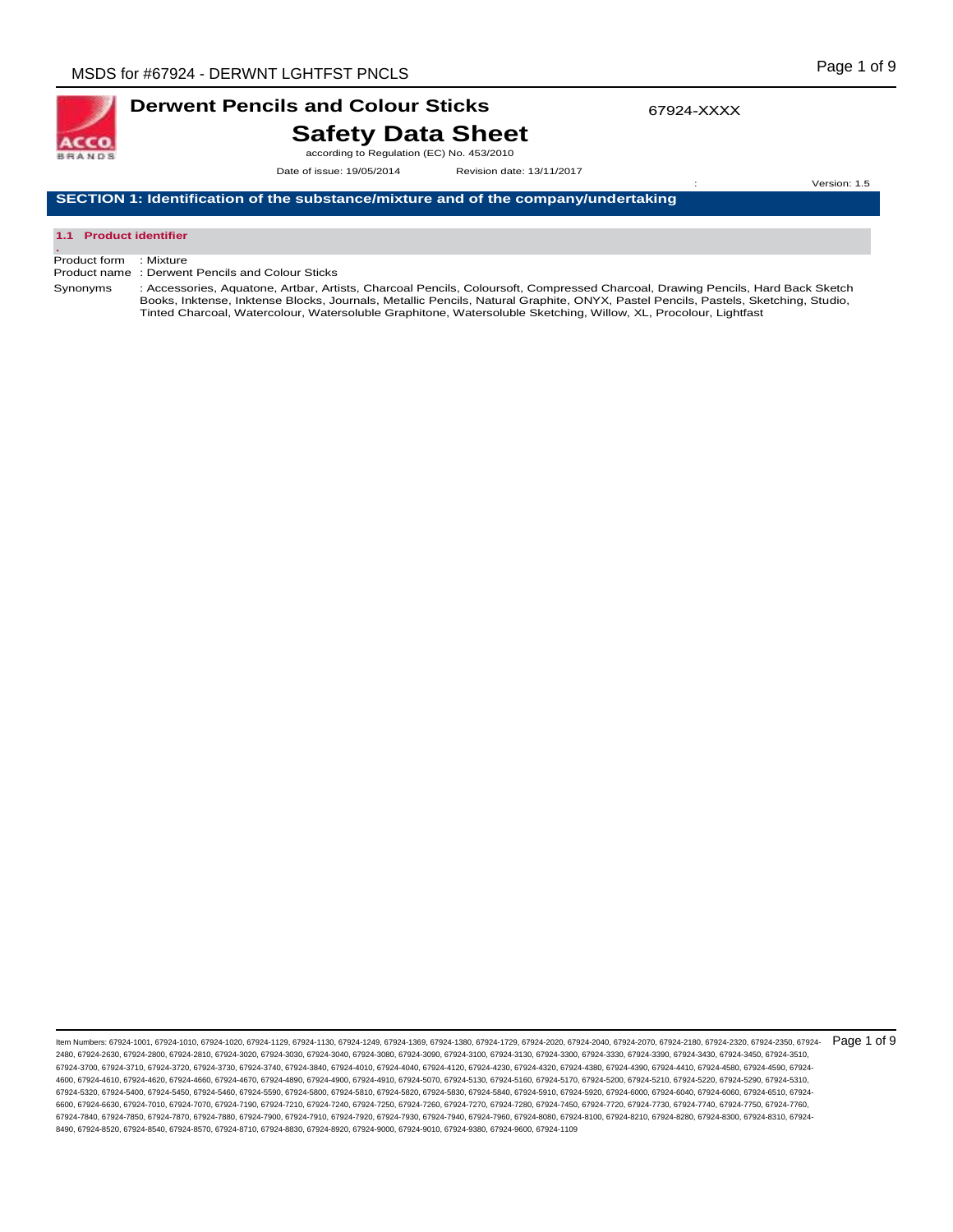

# **Derwent Pencils and Colour Sticks Safety Data Sheet**

according to Regulation (EC) No. 453/2010

Date of issue: 19/05/2014 Revision date: 13/11/2017

**SECTION 1: Identification of the substance/mixture and of the company/undertaking** 

#### **1.1 Product identifier .**

Product form : Mixture

Product name : Derwent Pencils and Colour Sticks

Synonyms : Accessories, Aquatone, Artbar, Artists, Charcoal Pencils, Coloursoft, Compressed Charcoal, Drawing Pencils, Hard Back Sketch Books, Inktense, Inktense Blocks, Journals, Metallic Pencils, Natural Graphite, ONYX, Pastel Pencils, Pastels, Sketching, Studio, Tinted Charcoal, Watercolour, Watersoluble Graphitone, Watersoluble Sketching, Willow, XL, Procolour, Lightfast

ltem Numbers: 67924-1001, 67924-1010, 67924-1020, 67924-1129, 67924-1130, 67924-1249, 67924-1369, 67924-1380, 67924-2020, 67924-2040, 67924-2070, 67924-2180, 67924-2180, 67924-2180, 67924-2320, 67924-2350, 67924-2350, 6792 2480, 67924-2630, 67924-2800, 67924-2810, 67924-3020, 67924-3030, 67924-3040, 67924-3080, 67924-3090, 67924-3100, 67924-3130, 67924-3300, 67924-3330, 67924-3390, 67924-3430, 67924-3450, 67924-3510, 67924-3700, 67924-3710, 67924-3720, 67924-3730, 67924-3740, 67924-3840, 67924-4010, 67924-4040, 67924-4120, 67924-4230, 67924-4320, 67924-4380, 67924-4390, 67924-4410, 67924-4580, 67924-4590, 67924- 4600, 67924-4610, 67924-4620, 67924-4660, 67924-4670, 67924-4890, 67924-4900, 67924-4910, 67924-5070, 67924-5130, 67924-5160, 67924-5170, 67924-5200, 67924-5210, 67924-5220, 67924-5290, 67924-5310, 67924-5320, 67924-5400, 67924-5450, 67924-5460, 67924-5590, 67924-5800, 67924-5810, 67924-5820, 67924-5830, 67924-5840, 67924-5910, 67924-5920, 67924-6000, 67924-6040, 67924-6060, 67924-6510, 67924- 6600, 67924-6630, 67924-7010, 67924-7070, 67924-7190, 67924-7210, 67924-7240, 67924-7260, 67924-7270, 67924-7780, 67924-7740, 67924-7720, 67924-7730, 67924-7740, 67924-7740, 67924-7740, 67924-7740, 67924-7740, 67924-7740, 6 67924-7840, 67924-7850, 67924-7870, 67924-7880, 67924-7900, 67924-7910, 67924-7920, 67924-7930, 67924-7940, 67924-7960, 67924-8080, 67924-8100, 67924-8210, 67924-8280, 67924-8300, 67924-8310, 67924- 8490, 67924-8520, 67924-8540, 67924-8570, 67924-8710, 67924-8830, 67924-8920, 67924-9000, 67924-9010, 67924-9380, 67924-9600, 67924-1109

Version: 1.5

67924-XXXX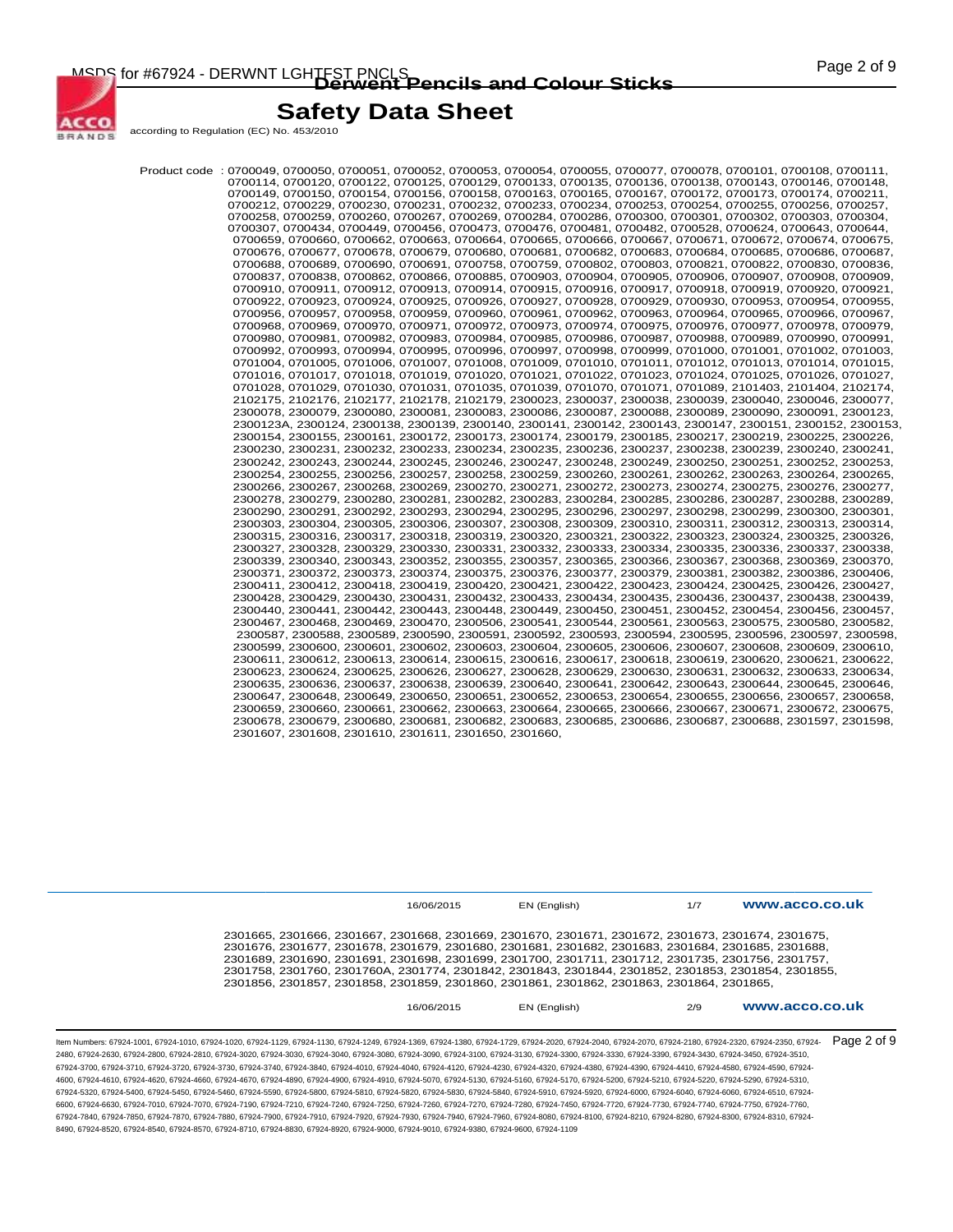MSDS for #67924 - DERWNT LGHTFST PNCLS<br> **Derwent Pencils and Colour Sticks COLOUR COLOUR MANUS** 



## **Safety Data Sheet**

according to Regulation (EC) No. 453/2010

,0700049, 0700050, 0700051, 0700052, 0700053, 0700054, 0700055, 0700077, 0700078, 0700101, 0700108, 0700111<br>,07001120, 0700122, 0700125, 0700129, 0700133, 0700135, 0700136, 0700138, 0700138, 0700143, 0700146<br>,0700149, 0700 0700212, 0700229, 0700230, 0700231, 0700232, 0700233, 0700234, 0700253, 0700254, 0700255, 0700256, 0700257, 0700258, 0700259, 0700260, 0700267, 0700269, 0700284, 0700286, 0700300, 0700301, 0700302, 0700303, 0700304, 0700307, 0700434, 0700449, 0700456, 0700473, 0700476, 0700481, 0700482, 0700528, 0700624, 0700643, 0700644, 0700659, 0700660, 0700662, 0700663, 0700664, 0700665, 0700666, 0700667, 0700671, 0700672, 0700674, 0700675, 0700676, 0700677, 0700678, 0700679, 0700680, 0700681, 0700682, 0700683, 0700684, 0700685, 0700686, 0700687, 0700688, 0700689, 0700690, 0700691, 0700758, 0700759, 0700802, 0700803, 0700821, 0700822, 0700830, 0700836, 0700837, 0700838, 0700862, 0700866, 0700885, 0700903, 0700904, 0700905, 0700906, 0700907, 0700908, 0700909, 0700910, 0700911, 0700912, 0700913, 0700914, 0700915, 0700916, 0700917, 0700918, 0700919, 0700920, 0700921, 0700922, 0700923, 0700924, 0700925, 0700926, 0700927, 0700928, 0700929, 0700930, 0700953, 0700954, 0700955, 0700956, 0700957, 0700958, 0700959, 0700960, 0700961, 0700962, 0700963, 0700964, 0700965, 0700966, 0700967, 0700968, 0700969, 0700970, 0700971, 0700972, 0700973, 0700974, 0700975, 0700976, 0700977, 0700978, 0700979, 0700980, 0700981, 0700982, 0700983, 0700984, 0700985, 0700986, 0700987, 0700988, 0700989, 0700990, 0700991, 0700992, 0700993, 0700994, 0700995, 0700996, 0700997, 0700998, 0700999, 0701000, 0701001, 0701002, 0701003,<br>0701004, 0701005, 0701006, 0701007, 0701008, 0701009, 0701010, 0701011, 0701012, 0701013, 0701014, 0701015, 0701016, 0701017, 0701018, 0701019, 0701020, 0701021, 0701022, 0701023, 0701024, 0701025, 0701026, 0701027, 0701028, 0701029, 0701030, 0701031, 0701035, 0701039, 0701070, 0701071, 0701089, 2101403, 2101404, 2102174, 2102175, 2102176, 2102177, 2102178, 2102179, 2300023, 2300037, 2300038, 2300039, 2300040, 2300046, 2300077, 2300078, 2300079, 2300080, 2300081, 2300083, 2300086, 2300087, 2300088, 2300089, 2300090, 2300091, 2300123, 2300123A, 2300124, 2300138, 2300139, 2300140, 2300141, 2300142, 2300143, 2300147, 2300151, 2300152, 2300153, 2300154, 2300155, 2300161, 2300172, 2300173, 2300174, 2300179, 2300185, 2300217, 2300219, 2300225, 2300226, 2300230, 2300231, 2300232, 2300233, 2300234, 2300235, 2300236, 2300237, 2300238, 2300239, 2300240, 2300241, 2300242, 2300243, 2300244, 2300245, 2300246, 2300247, 2300248, 2300249, 2300250, 2300251, 2300252, 2300253, 2300254, 2300255, 2300256, 2300257, 2300258, 2300259, 2300260, 2300261, 2300262, 2300263, 2300264, 2300265, 2300266, 2300267, 2300268, 2300269, 2300270, 2300271, 2300272, 2300273, 2300274, 2300275, 2300276, 2300277, 2300278, 2300279, 2300280, 2300281, 2300282, 2300283, 2300284, 2300285, 2300286, 2300287, 2300288, 2300289, 2300290, 2300291, 2300292, 2300293, 2300294, 2300295, 2300296, 2300297, 2300298, 2300299, 2300300, 2300301, 2300303, 2300304, 2300305, 2300306, 2300307, 2300308, 2300309, 2300310, 2300311, 2300312, 2300313, 2300314, 2300315, 2300316, 2300317, 2300318, 2300319, 2300320, 2300321, 2300322, 2300323, 2300324, 2300325, 2300326, 2300327, 2300328, 2300329, 2300330, 2300331, 2300332, 2300333, 2300334, 2300335, 2300336, 2300337, 2300338, 2300339, 2300340, 2300343, 2300352, 2300355, 2300357, 2300365, 2300366, 2300367, 2300368, 2300369, 2300370, 2300371, 2300372, 2300373, 2300374, 2300375, 2300376, 2300377, 2300379, 2300381, 2300382, 2300386, 2300406, 2300411, 2300412, 2300418, 2300419, 2300420, 2300421, 2300422, 2300423, 2300424, 2300425, 2300426, 2300427, 2300428, 2300429, 2300430, 2300431, 2300432, 2300433, 2300434, 2300435, 2300436, 2300437, 2300438, 2300439, 2300440, 2300441, 2300442, 2300443, 2300448, 2300449, 2300450, 2300451, 2300452, 2300454, 2300456, 2300457, 2300467, 2300468, 2300469, 2300470, 2300506, 2300541, 2300544, 2300561, 2300563, 2300575, 2300580, 2300582, 2300587, 2300588, 2300589, 2300590, 2300591, 2300592, 2300593, 2300594, 2300595, 2300596, 2300597, 2300598, 2300599, 2300600, 2300601, 2300602, 2300603, 2300604, 2300605, 2300606, 2300607, 2300608, 2300609, 2300610, 2300611, 2300612, 2300613, 2300614, 2300615, 2300616, 2300617, 2300618, 2300619, 2300620, 2300621, 2300622, 2300623, 2300624, 2300625, 2300626, 2300627, 2300628, 2300629, 2300630, 2300631, 2300632, 2300633, 2300634, 2300635, 2300636, 2300637, 2300638, 2300639, 2300640, 2300641, 2300642, 2300643, 2300644, 2300645, 2300646, 2300647, 2300648, 2300649, 2300650, 2300651, 2300652, 2300653, 2300654, 2300655, 2300656, 2300657, 2300658, 2300659, 2300660, 2300661, 2300662, 2300663, 2300664, 2300665, 2300666, 2300667, 2300671, 2300672, 2300675, 2300678, 2300679, 2300680, 2300681, 2300682, 2300683, 2300685, 2300686, 2300687, 2300688, 2301597, 2301598, 2301607, 2301608, 2301610, 2301611, 2301650, 2301660,

|                                                                                                                                                                                                          | 16/06/2015 | EN (English) | 1/7 | www.acco.co.uk |
|----------------------------------------------------------------------------------------------------------------------------------------------------------------------------------------------------------|------------|--------------|-----|----------------|
| 2301665, 2301666, 2301667, 2301668, 2301669, 2301670, 2301671, 2301672, 2301673, 2301674, 2301675,                                                                                                       |            |              |     |                |
| 2301676, 2301677, 2301678, 2301679, 2301680, 2301681, 2301682, 2301683, 2301684, 2301685, 2301688,<br>2301689, 2301690, 2301691, 2301698, 2301699, 2301700, 2301711, 2301712, 2301735, 2301756, 2301757, |            |              |     |                |
| 2301758, 2301760, 2301760A, 2301774, 2301842, 2301843, 2301844, 2301852, 2301853, 2301854, 2301855,<br>2301856, 2301857, 2301858, 2301859, 2301860, 2301861, 2301862, 2301863, 2301864, 2301865,         |            |              |     |                |
|                                                                                                                                                                                                          | 16/06/2015 | EN (English) | 2/9 | www.acco.co.uk |

ltem Numbers: 67924-1001, 67924-1010, 67924-1020, 67924-1129, 67924-1130, 67924-1249, 67924-1369, 67924-1380, 67924-2020, 67924-2040, 67924-2070, 67924-2180, 67924-2180, 67924-2180, 67924-2320, 67924-2350, 67924-2350, 6792 2480, 67924-2630, 67924-2800, 67924-2810, 67924-3020, 67924-3030, 67924-3040, 67924-3080, 67924-3090, 67924-3100, 67924-3130, 67924-3300, 67924-3330, 67924-3390, 67924-3430, 67924-3450, 67924-3510, 67924-3700, 67924-3710, 67924-3720, 67924-3730, 67924-3740, 67924-3840, 67924-4010, 67924-4040, 67924-4120, 67924-4230, 67924-4320, 67924-4380, 67924-4390, 67924-4410, 67924-4580, 67924-4590, 67924- 4600, 67924-4610, 67924-4620, 67924-4660, 67924-4670, 67924-4890, 67924-4900, 67924-4910, 67924-5070, 67924-5130, 67924-5160, 67924-5170, 67924-5200, 67924-5210, 67924-5220, 67924-5290, 67924-5310, 67924-5320, 67924-5400, 67924-5450, 67924-5460, 67924-5590, 67924-5800, 67924-5810, 67924-5820, 67924-5830, 67924-5840, 67924-5910, 67924-5920, 67924-6000, 67924-6040, 67924-6060, 67924-6510, 67924- 6600, 67924-6630, 67924-7010, 67924-7070, 67924-7190, 67924-7210, 67924-7240, 67924-7250, 67924-7260, 67924-7270, 67924-7280, 67924-7450, 67924-7720, 67924-7730, 67924-7740, 67924-7750, 67924-7760, 67924-7840, 67924-7850, 67924-7870, 67924-7880, 67924-7900, 67924-7910, 67924-7920, 67924-7930, 67924-7940, 67924-7960, 67924-8080, 67924-8100, 67924-8210, 67924-8280, 67924-8300, 67924-8310, 67924- 8490, 67924-8520, 67924-8540, 67924-8570, 67924-8710, 67924-8830, 67924-8920, 67924-9000, 67924-9010, 67924-9380, 67924-9600, 67924-1109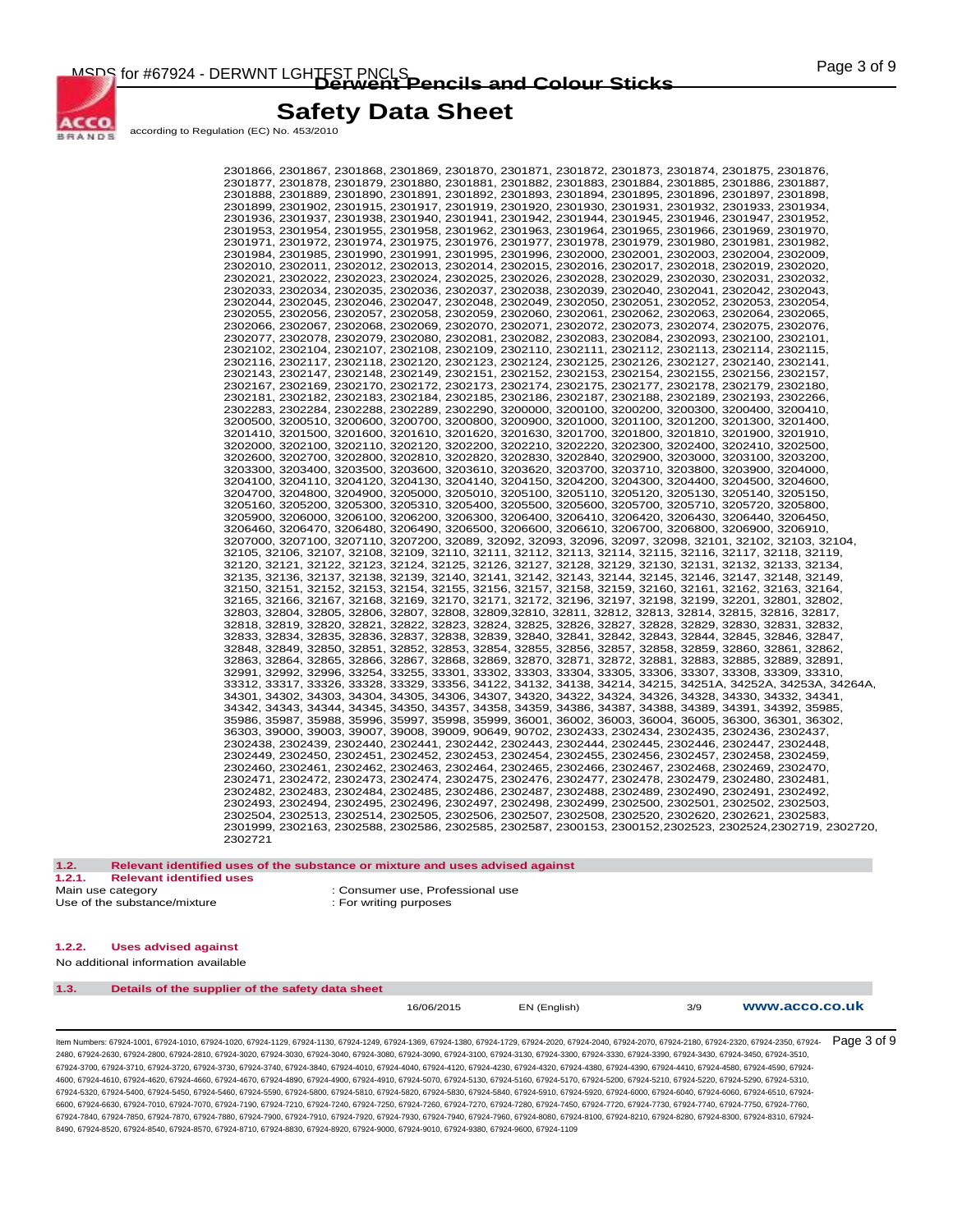

according to Regulation (EC) No. 453/2010

2301866, 2301867, 2301868, 2301869, 2301870, 2301871, 2301872, 2301873, 2301874, 2301875, 2301876, 2301877, 2301878, 2301879, 2301880, 2301881, 2301882, 2301883, 2301884, 2301885, 2301886, 2301887, 2301888, 2301889, 2301890, 2301891, 2301892, 2301893, 2301894, 2301895, 2301896, 2301897, 2301898, 2301899, 2301902, 2301915, 2301917, 2301919, 2301920, 2301930, 2301931, 2301932, 2301933, 2301934, 2301936, 2301937, 2301938, 2301940, 2301941, 2301942, 2301944, 2301945, 2301946, 2301947, 2301952, 2301953, 2301954, 2301955, 2301958, 2301962, 2301963, 2301964, 2301965, 2301966, 2301969, 2301970,<br>2301971, 2301972, 2301974, 2301975, 2301976, 2301977, 2301978, 2301979, 2301980, 2301981, 2301982, 2301984, 2301985, 2301990, 2301991, 2301995, 2301996, 2302000, 2302001, 2302003, 2302004, 2302009, 2302010, 2302011, 2302012, 2302013, 2302014, 2302015, 2302016, 2302017, 2302018, 2302019, 2302020, 2302021, 2302022, 2302023, 2302024, 2302025, 2302026, 2302028, 2302029, 2302030, 2302031, 2302032, 2302033, 2302034, 2302035, 2302036, 2302037, 2302038, 2302039, 2302040, 2302041, 2302042, 2302043, 2302044, 2302045, 2302046, 2302047, 2302048, 2302049, 2302050, 2302051, 2302052, 2302053, 2302054, 2302055, 2302056, 2302057, 2302058, 2302059, 2302060, 2302061, 2302062, 2302063, 2302064, 2302065, 2302066, 2302067, 2302068, 2302069, 2302070, 2302071, 2302072, 2302073, 2302074, 2302075, 2302076, 2302077, 2302078, 2302079, 2302080, 2302081, 2302082, 2302083, 2302084, 2302093, 2302100, 2302101, 2302102, 2302104, 2302107, 2302108, 2302109, 2302110, 2302111, 2302112, 2302113, 2302114, 2302115, 2302116, 2302117, 2302118, 2302120, 2302123, 2302124, 2302125, 2302126, 2302127, 2302140, 2302141, 2302143, 2302147, 2302148, 2302149, 2302151, 2302152, 2302153, 2302154, 2302155, 2302156, 2302157, 2302167, 2302169, 2302170, 2302172, 2302173, 2302174, 2302175, 2302177, 2302178, 2302179, 2302180, 2302181, 2302182, 2302183, 2302184, 2302185, 2302186, 2302187, 2302188, 2302189, 2302193, 2302266, 2302283, 2302284, 2302288, 2302289, 2302290, 3200000, 3200100, 3200200, 3200300, 3200400, 3200410, 3200500, 3200510, 3200600, 3200700, 3200800, 3200900, 3201000, 3201100, 3201200, 3201300, 3201400, 3201410, 3201500, 3201600, 3201610, 3201620, 3201630, 3201700, 3201800, 3201810, 3201900, 3201910, 3202000, 3202100, 3202110, 3202120, 3202200, 3202210, 3202220, 3202300, 3202400, 3202410, 3202500, 3202600, 3202700, 3202800, 3202810, 3202820, 3202830, 3202840, 3202900, 3203000, 3203100, 3203200, 3203300, 3203400, 3203500, 3203600, 3203610, 3203620, 3203700, 3203710, 3203800, 3203900, 3204000,<br>3204100, 3204110, 3204120, 3204130, 3204140, 3204150, 3204200, 3204300, 3204400, 3204500, 3204600, 3204700, 3204800, 3204900, 3205000, 3205010, 3205100, 3205110, 3205120, 3205130, 3205140, 3205150, 3205160, 3205200, 3205300, 3205310, 3205400, 3205500, 3205600, 3205700, 3205710, 3205720, 3205800, 3205900, 3206000, 3206100, 3206200, 3206300, 3206400, 3206410, 3206420, 3206430, 3206440, 3206450, 3206460, 3206470, 3206480, 3206490, 3206500, 3206600, 3206610, 3206700, 3206800, 3206900, 3206910, 3207000, 3207100, 3207110, 3207200, 32089, 32092, 32093, 32096, 32097, 32098, 32101, 32102, 32103, 32104, 32105, 32106, 32107, 32108, 32109, 32110, 32111, 32112, 32113, 32114, 32115, 32116, 32117, 32118, 32119, 32120, 32121, 32122, 32123, 32124, 32125, 32126, 32127, 32128, 32129, 32130, 32131, 32132, 32133, 32134, 32135, 32136, 32137, 32138, 32139, 32140, 32141, 32142, 32143, 32144, 32145, 32146, 32147, 32148, 32149, 32150, 32151, 32152, 32153, 32154, 32155, 32156, 32157, 32158, 32159, 32160, 32161, 32162, 32163, 32164,<br>32165, 32166, 32167, 32168, 32169, 32170, 32171, 32172, 32196, 32197, 32198, 32199, 32201, 32801, 32802,<br>32803, 32804 32818, 32819, 32820, 32821, 32822, 32823, 32824, 32825, 32826, 32827, 32828, 32829, 32830, 32831, 32832, 32833, 32834, 32835, 32836, 32837, 32838, 32839, 32840, 32841, 32842, 32843, 32844, 32845, 32846, 32847, 32848, 32849, 32850, 32851, 32852, 32853, 32854, 32855, 32856, 32857, 32858, 32859, 32860, 32861, 32862, 32863, 32864, 32865, 32866, 32867, 32868, 32869, 32870, 32871, 32872, 32881, 32883, 32885, 32889, 32891, 32991, 32992, 32996, 33254, 33255, 33301, 33302, 33303, 33304, 33305, 33306, 33307, 33308, 33309, 33310, 33312, 33317, 33326, 33328, 33329, 33356, 34122, 34132, 34138, 34214, 34215, 34251A, 34252A, 34253A, 34264A, 34301, 34302, 34303, 34304, 34305, 34306, 34307, 34320, 34322, 34324, 34326, 34328, 34330, 34332, 34341, 34342, 34343, 34344, 34345, 34350, 34357, 34358, 34359, 34386, 34387, 34388, 34389, 34391, 34392, 35985,<br>35986, 35987, 35988, 35996, 35997, 35998, 35999, 36001, 36002, 36003, 36004, 36005, 36300, 36301, 36302, 36303, 39000, 39003, 39007, 39008, 39009, 90649, 90702, 2302433, 2302434, 2302435, 2302436, 2302437, 2302438, 2302439, 2302440, 2302441, 2302442, 2302443, 2302444, 2302445, 2302446, 2302447, 2302448, 2302449, 2302450, 2302451, 2302452, 2302453, 2302454, 2302455, 2302456, 2302457, 2302458, 2302459, 2302460, 2302461, 2302462, 2302463, 2302464, 2302465, 2302466, 2302467, 2302468, 2302469, 2302470, 2302471, 2302472, 2302473, 2302474, 2302475, 2302476, 2302477, 2302478, 2302479, 2302480, 2302481, 2302482, 2302483, 2302484, 2302485, 2302486, 2302487, 2302488, 2302489, 2302490, 2302491, 2302492, 2302493, 2302494, 2302495, 2302496, 2302497, 2302498, 2302499, 2302500, 2302501, 2302502, 2302503, 2302504, 2302513, 2302514, 2302505, 2302506, 2302507, 2302508, 2302520, 2302620, 2302621, 2302583, 2301999, 2302163, 2302588, 2302586, 2302585, 2302587, 2300153, 2300152,2302523, 2302524,2302719, 2302720, 2302721

**1.2. Relevant identified uses of the substance or mixture and uses advised against 1.2.1. Relevant identified uses**  : Consumer use, Professional use Use of the substance/mixture  $\qquad \qquad$ : For writing purposes

#### **1.2.2. Uses advised against**

No additional information available

| 1.3. | Details of the supplier of the safety data sheet |            |              |     |                |
|------|--------------------------------------------------|------------|--------------|-----|----------------|
|      |                                                  | 16/06/2015 | EN (English) | 3/9 | www.acco.co.uk |

ltem Numbers: 67924-1001, 67924-1010, 67924-1020, 67924-1129, 67924-1130, 67924-1249, 67924-1369, 67924-1380, 67924-2020, 67924-2040, 67924-2070, 67924-2180, 67924-2180, 67924-2180, 67924-2320, 67924-2350, 67924-2180, 6792 2480, 67924-2630, 67924-2800, 67924-2810, 67924-3020, 67924-3030, 67924-3040, 67924-3080, 67924-3090, 67924-3100, 67924-3130, 67924-3300, 67924-3330, 67924-3390, 67924-3430, 67924-3450, 67924-3510, 67924-3700, 67924-3710, 67924-3720, 67924-3730, 67924-3740, 67924-3840, 67924-4010, 67924-4040, 67924-4120, 67924-4230, 67924-4320, 67924-4380, 67924-4390, 67924-4410, 67924-4580, 67924-4590, 67924- 4600, 67924-4610, 67924-4620, 67924-4660, 67924-4670, 67924-4890, 67924-4900, 67924-4910, 67924-5070, 67924-5130, 67924-5160, 67924-5170, 67924-5200, 67924-5210, 67924-5220, 67924-5290, 67924-5310, 67924-5320, 67924-5400, 67924-5450, 67924-5460, 67924-5590, 67924-5800, 67924-5810, 67924-5820, 67924-5830, 67924-5840, 67924-5910, 67924-5920, 67924-6000, 67924-6040, 67924-6060, 67924-6510, 67924- 6600, 67924-6630, 67924-7010, 67924-7070, 67924-7190, 67924-7210, 67924-7240, 67924-7260, 67924-7270, 67924-7280, 67924-7480, 67924-7720, 67924-7730, 67924-7730, 67924-7740, 67924-7750, 67924-7750, 67924-7750, 67924-7750, 6 67924-7840, 67924-7850, 67924-7870, 67924-7880, 67924-7900, 67924-7910, 67924-7920, 67924-7930, 67924-7940, 67924-7960, 67924-8080, 67924-8100, 67924-8210, 67924-8280, 67924-8300, 67924-8310, 67924- 8490, 67924-8520, 67924-8540, 67924-8570, 67924-8710, 67924-8830, 67924-8920, 67924-9000, 67924-9010, 67924-9380, 67924-9600, 67924-1109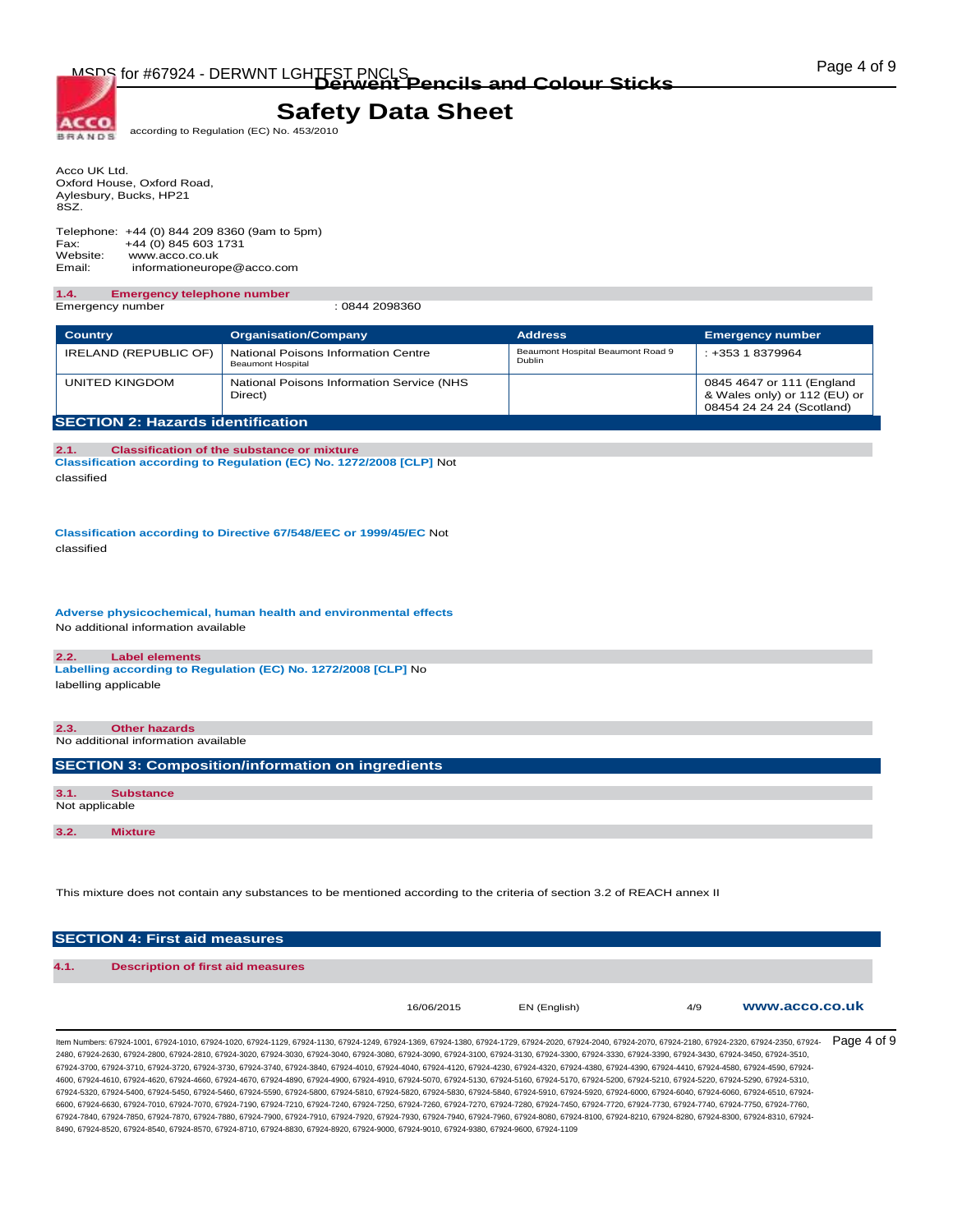according to Regulation (EC) No. 453/2010

Acco UK Ltd. Oxford House, Oxford Road, Aylesbury, Bucks, HP21 8SZ.

ACCO **BRANDS** 

Telephone: +44 (0) 844 209 8360 (9am to 5pm) Fax: +44 (0) 845 603 1731<br>Website: www.acco.co.uk www.acco.co.uk Email: informationeurope@acco.com

#### **1.4. Emergency telephone number**  Emergency number : 0844 2098360

| <b>Country</b>                           | <b>Organisation/Company</b>                                     | <b>Address</b>                                     | <b>Emergency number</b>                                                                |
|------------------------------------------|-----------------------------------------------------------------|----------------------------------------------------|----------------------------------------------------------------------------------------|
| IRELAND (REPUBLIC OF)                    | National Poisons Information Centre<br><b>Beaumont Hospital</b> | Beaumont Hospital Beaumont Road 9<br><b>Dublin</b> | $: +35318379964$                                                                       |
| UNITED KINGDOM                           | National Poisons Information Service (NHS<br>Direct)            |                                                    | 0845 4647 or 111 (England<br>& Wales only) or 112 (EU) or<br>08454 24 24 24 (Scotland) |
| <b>SECTION 2: Hazards identification</b> |                                                                 |                                                    |                                                                                        |

**2.1. Classification of the substance or mixture Classification according to Regulation (EC) No. 1272/2008 [CLP]** Not classified

**Classification according to Directive 67/548/EEC or 1999/45/EC** Not classified

**Adverse physicochemical, human health and environmental effects**  No additional information available

#### **2.2. Label elements**

**Labelling according to Regulation (EC) No. 1272/2008 [CLP]** No labelling applicable

**2.3. Other hazards**  No additional information available

**SECTION 3: Composition/information on ingredients** 

| 3.1. | <b>Substance</b> |  |  |
|------|------------------|--|--|
|      | Not applicable   |  |  |
|      |                  |  |  |
| 3.2. | <b>Mixture</b>   |  |  |

This mixture does not contain any substances to be mentioned according to the criteria of section 3.2 of REACH annex II

|      | <b>SECTION 4: First aid measures</b>     |            |              |     |                |
|------|------------------------------------------|------------|--------------|-----|----------------|
| 4.1. | <b>Description of first aid measures</b> |            |              |     |                |
|      |                                          | 16/06/2015 | EN (English) | 4/9 | www.acco.co.uk |

ltem Numbers: 67924-1001, 67924-1010, 67924-1020, 67924-1129, 67924-1130, 67924-1249, 67924-1369, 67924-1380, 67924-2020, 67924-2040, 67924-2070, 67924-2180, 67924-2180, 67924-2180, 67924-2320, 67924-2350, 67924-2350, 6792 2480, 67924-2630, 67924-2800, 67924-2810, 67924-3020, 67924-3030, 67924-3040, 67924-3080, 67924-3090, 67924-3100, 67924-3130, 67924-3300, 67924-3330, 67924-3390, 67924-3430, 67924-3450, 67924-3510, 67924-3700, 67924-3710, 67924-3720, 67924-3730, 67924-3740, 67924-3840, 67924-4010, 67924-4040, 67924-4120, 67924-4230, 67924-4320, 67924-4380, 67924-4390, 67924-4410, 67924-4580, 67924-4590, 67924- 4600, 67924-4610, 67924-4620, 67924-4660, 67924-4670, 67924-4890, 67924-4900, 67924-4910, 67924-5070, 67924-5130, 67924-5160, 67924-5170, 67924-5200, 67924-5210, 67924-5220, 67924-5290, 67924-5310, 67924-5320, 67924-5400, 67924-5450, 67924-5460, 67924-5590, 67924-5800, 67924-5810, 67924-5820, 67924-5830, 67924-5840, 67924-5910, 67924-5920, 67924-6000, 67924-6040, 67924-6060, 67924-6510, 67924- 6600, 67924-6630, 67924-7010, 67924-7070, 67924-7190, 67924-7210, 67924-7250, 67924-7260, 67924-7270, 67924-7280, 67924-7740, 67924-7720, 67924-7730, 67924-7740, 67924-7740, 67924-7740, 67924-7740, 67924-7740, 67924-7740, 6 67924-7840, 67924-7850, 67924-7870, 67924-7880, 67924-7900, 67924-7910, 67924-7920, 67924-7930, 67924-7940, 67924-7960, 67924-8080, 67924-8100, 67924-8210, 67924-8280, 67924-8300, 67924-8310, 67924- 8490, 67924-8520, 67924-8540, 67924-8570, 67924-8710, 67924-8830, 67924-8920, 67924-9000, 67924-9010, 67924-9380, 67924-9600, 67924-1109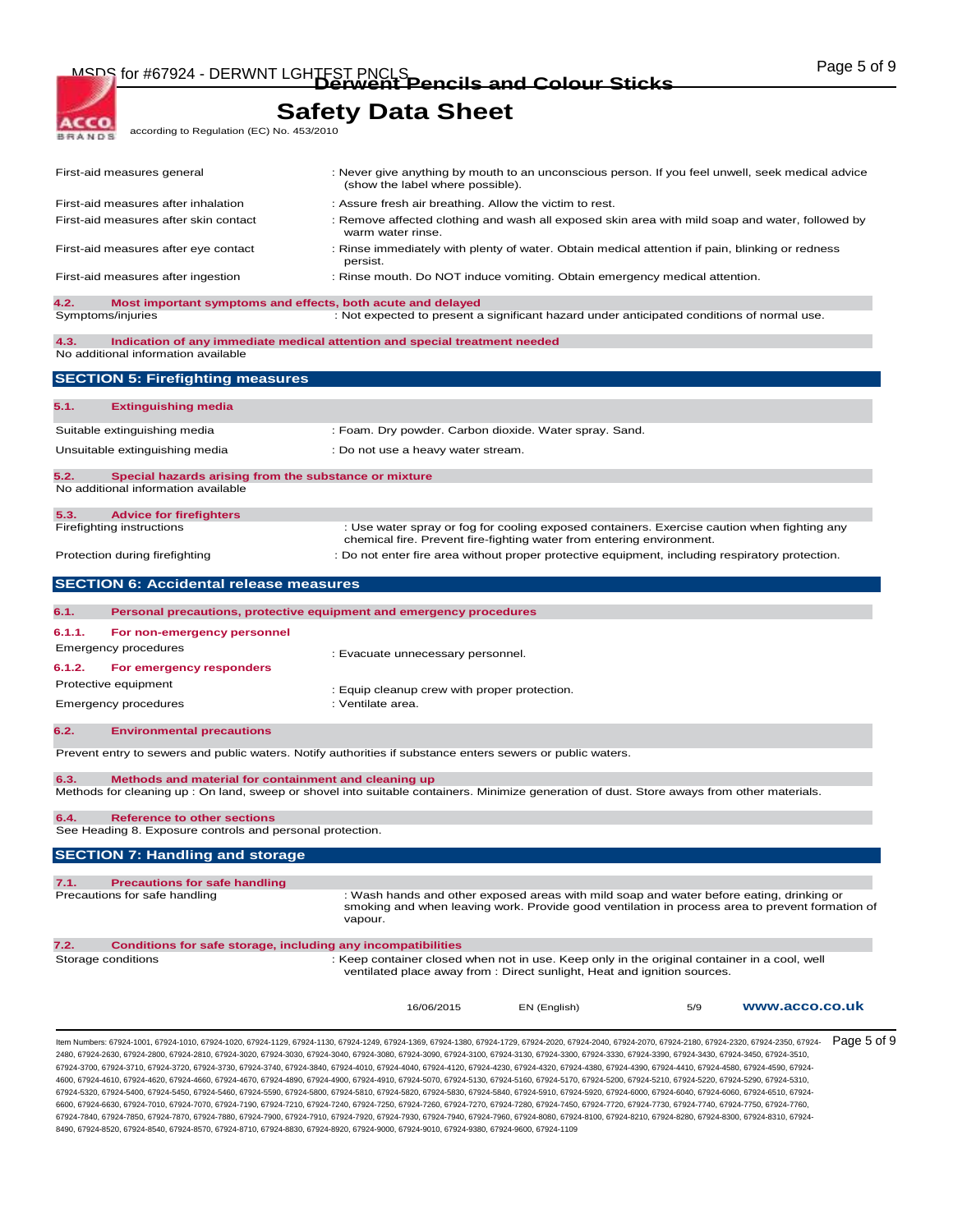MSDS for #67924 - DERWNT LGHTFST PNCLS<br> **Derwent Pencils and Colour Sticks COLOUR COLOUR STIGKS** 

according to Regulation (EC) No. 453/2010

**ACCO. BRANDS** 

 $\overline{\phantom{a}}$ 

**Safety Data Sheet**

| 7.2.   | Conditions for safe storage, including any incompatibilities<br>Storage conditions                                                                                                | : Keep container closed when not in use. Keep only in the original container in a cool, well<br>ventilated place away from : Direct sunlight, Heat and ignition sources.<br>16/06/2015 | EN (English) | 5/9 | www.acco.co.uk                                                                                  |
|--------|-----------------------------------------------------------------------------------------------------------------------------------------------------------------------------------|----------------------------------------------------------------------------------------------------------------------------------------------------------------------------------------|--------------|-----|-------------------------------------------------------------------------------------------------|
| 7.1.   | <b>Precautions for safe handling</b><br>Precautions for safe handling                                                                                                             | : Wash hands and other exposed areas with mild soap and water before eating, drinking or<br>vapour.                                                                                    |              |     | smoking and when leaving work. Provide good ventilation in process area to prevent formation of |
|        | <b>SECTION 7: Handling and storage</b>                                                                                                                                            |                                                                                                                                                                                        |              |     |                                                                                                 |
|        | See Heading 8. Exposure controls and personal protection.                                                                                                                         |                                                                                                                                                                                        |              |     |                                                                                                 |
| 6.4.   | Methods for cleaning up : On land, sweep or shovel into suitable containers. Minimize generation of dust. Store aways from other materials.<br><b>Reference to other sections</b> |                                                                                                                                                                                        |              |     |                                                                                                 |
| 6.3.   | Methods and material for containment and cleaning up                                                                                                                              |                                                                                                                                                                                        |              |     |                                                                                                 |
|        | Prevent entry to sewers and public waters. Notify authorities if substance enters sewers or public waters.                                                                        |                                                                                                                                                                                        |              |     |                                                                                                 |
| 6.2.   | <b>Environmental precautions</b>                                                                                                                                                  |                                                                                                                                                                                        |              |     |                                                                                                 |
|        | <b>Emergency procedures</b>                                                                                                                                                       | : Equip cleanup crew with proper protection.<br>: Ventilate area.                                                                                                                      |              |     |                                                                                                 |
| 6.1.2. | For emergency responders<br>Protective equipment                                                                                                                                  |                                                                                                                                                                                        |              |     |                                                                                                 |
|        | Emergency procedures                                                                                                                                                              | : Evacuate unnecessary personnel.                                                                                                                                                      |              |     |                                                                                                 |
| 6.1.1. | For non-emergency personnel                                                                                                                                                       |                                                                                                                                                                                        |              |     |                                                                                                 |
| 6.1.   | Personal precautions, protective equipment and emergency procedures                                                                                                               |                                                                                                                                                                                        |              |     |                                                                                                 |
|        | <b>SECTION 6: Accidental release measures</b>                                                                                                                                     |                                                                                                                                                                                        |              |     |                                                                                                 |
|        | Protection during firefighting                                                                                                                                                    | : Do not enter fire area without proper protective equipment, including respiratory protection.                                                                                        |              |     |                                                                                                 |
|        | Firefighting instructions                                                                                                                                                         | : Use water spray or fog for cooling exposed containers. Exercise caution when fighting any<br>chemical fire. Prevent fire-fighting water from entering environment.                   |              |     |                                                                                                 |
| 5.3.   | <b>Advice for firefighters</b>                                                                                                                                                    |                                                                                                                                                                                        |              |     |                                                                                                 |
| 5.2.   | Special hazards arising from the substance or mixture<br>No additional information available                                                                                      |                                                                                                                                                                                        |              |     |                                                                                                 |
|        | Unsuitable extinguishing media                                                                                                                                                    | : Do not use a heavy water stream.                                                                                                                                                     |              |     |                                                                                                 |
|        | Suitable extinguishing media                                                                                                                                                      | : Foam. Dry powder. Carbon dioxide. Water spray. Sand.                                                                                                                                 |              |     |                                                                                                 |
| 5.1.   | <b>Extinguishing media</b>                                                                                                                                                        |                                                                                                                                                                                        |              |     |                                                                                                 |
|        | <b>SECTION 5: Firefighting measures</b>                                                                                                                                           |                                                                                                                                                                                        |              |     |                                                                                                 |
| 4.3.   | Indication of any immediate medical attention and special treatment needed<br>No additional information available                                                                 |                                                                                                                                                                                        |              |     |                                                                                                 |
| 4.2.   | Most important symptoms and effects, both acute and delayed<br>Symptoms/injuries                                                                                                  | : Not expected to present a significant hazard under anticipated conditions of normal use.                                                                                             |              |     |                                                                                                 |
|        | First-aid measures after ingestion                                                                                                                                                | : Rinse mouth. Do NOT induce vomiting. Obtain emergency medical attention.                                                                                                             |              |     |                                                                                                 |
|        |                                                                                                                                                                                   | persist.                                                                                                                                                                               |              |     |                                                                                                 |
|        | First-aid measures after eye contact                                                                                                                                              | warm water rinse.<br>: Rinse immediately with plenty of water. Obtain medical attention if pain, blinking or redness                                                                   |              |     |                                                                                                 |
|        | First-aid measures after inhalation<br>First-aid measures after skin contact                                                                                                      | : Assure fresh air breathing. Allow the victim to rest.<br>: Remove affected clothing and wash all exposed skin area with mild soap and water, followed by                             |              |     |                                                                                                 |
|        |                                                                                                                                                                                   | (show the label where possible).                                                                                                                                                       |              |     |                                                                                                 |
|        | First-aid measures general                                                                                                                                                        | : Never give anything by mouth to an unconscious person. If you feel unwell, seek medical advice                                                                                       |              |     |                                                                                                 |

4600, 67924-4610, 67924-4620, 67924-4660, 67924-4670, 67924-4890, 67924-4900, 67924-4910, 67924-5070, 67924-5130, 67924-5160, 67924-5170, 67924-5200, 67924-5210, 67924-5220, 67924-5290, 67924-5310, 67924-5320, 67924-5400, 67924-5450, 67924-5460, 67924-5590, 67924-5800, 67924-5810, 67924-5820, 67924-5830, 67924-5840, 67924-5910, 67924-5920, 67924-6000, 67924-6040, 67924-6060, 67924-6510, 67924- 6600, 67924-6630, 67924-7010, 67924-7070, 67924-7190, 67924-7210, 67924-7240, 67924-7250, 67924-7270, 67924-7280, 67924-7740, 67924-7720, 67924-7730, 67924-7740, 67924-7740, 67924-7740, 67924-7740, 67924-7740, 67924-7750, 6 67924-7840, 67924-7850, 67924-7870, 67924-7880, 67924-7900, 67924-7910, 67924-7920, 67924-7930, 67924-7940, 67924-7960, 67924-8080, 67924-8100, 67924-8210, 67924-8280, 67924-8300, 67924-8310, 67924- 8490, 67924-8520, 67924-8540, 67924-8570, 67924-8710, 67924-8830, 67924-8920, 67924-9000, 67924-9010, 67924-9380, 67924-9600, 67924-1109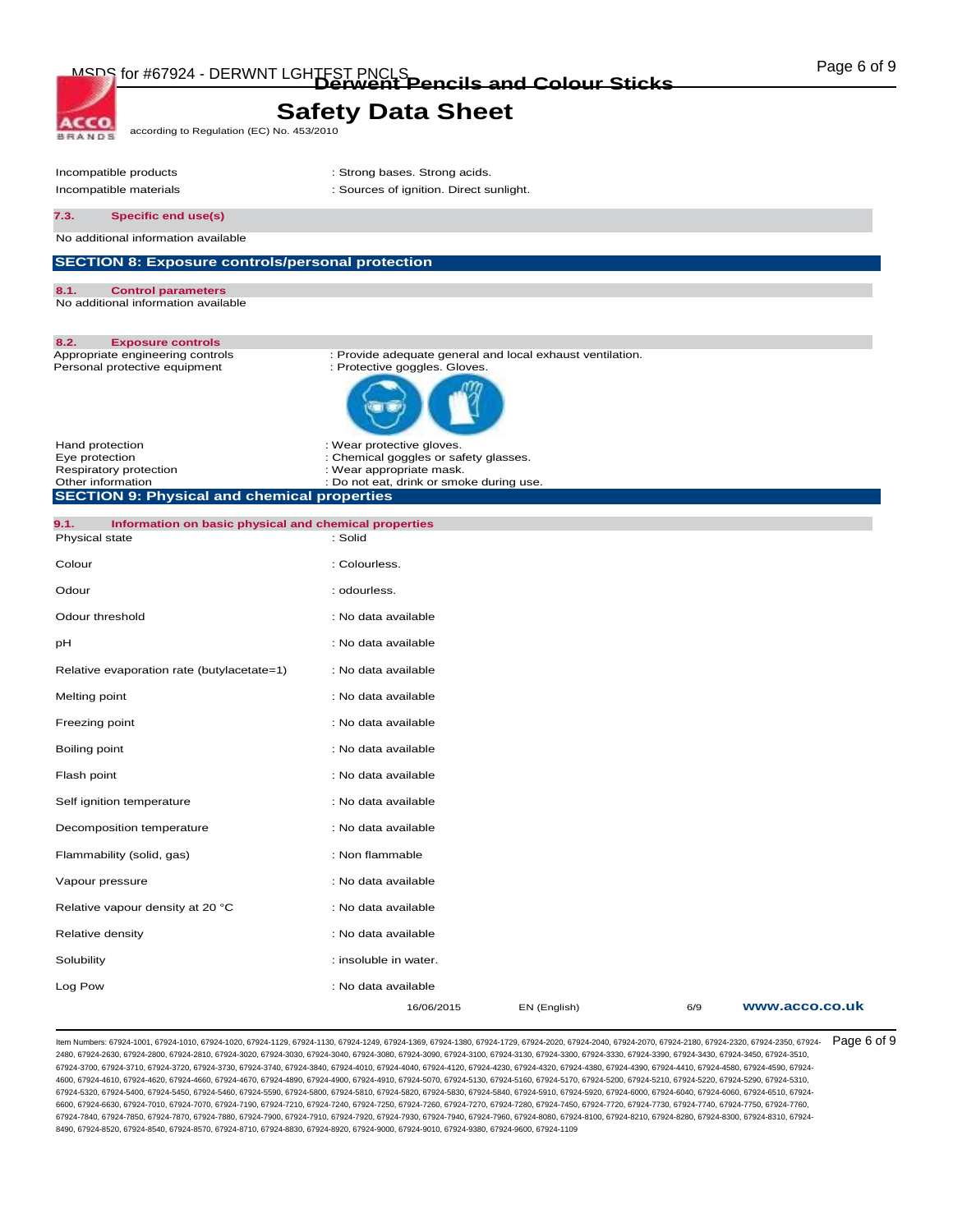

**ACCO** according to Regulation (EC) No. 453/2010 **BRANDS** 

Incompatible products in the strong bases. Strong acids. Incompatible materials incompatible materials in the sources of ignition. Direct sunlight.

**7.3. Specific end use(s)** 

No additional information available

### **SECTION 8: Exposure controls/personal protection**

| 8.1. | <b>Control parameters</b>           |  |
|------|-------------------------------------|--|
|      | No additional information available |  |

**8.2. Exposure controls** 

| <b>Exposure corniols</b><br>Appropriate engineering controls<br>Personal protective equipment                                                                                                                                  | : Provide adequate general and local exhaust ventilation.<br>: Protective goggles. Gloves. |              |     |                |
|--------------------------------------------------------------------------------------------------------------------------------------------------------------------------------------------------------------------------------|--------------------------------------------------------------------------------------------|--------------|-----|----------------|
|                                                                                                                                                                                                                                |                                                                                            |              |     |                |
| Hand protection                                                                                                                                                                                                                | : Wear protective gloves.                                                                  |              |     |                |
| Eye protection                                                                                                                                                                                                                 | : Chemical goggles or safety glasses.                                                      |              |     |                |
| Respiratory protection<br>Other information                                                                                                                                                                                    | : Wear appropriate mask.<br>: Do not eat, drink or smoke during use.                       |              |     |                |
| <b>SECTION 9: Physical and chemical properties</b>                                                                                                                                                                             |                                                                                            |              |     |                |
|                                                                                                                                                                                                                                |                                                                                            |              |     |                |
| Information on basic physical and chemical properties<br>9.1.                                                                                                                                                                  |                                                                                            |              |     |                |
| Physical state                                                                                                                                                                                                                 | : Solid                                                                                    |              |     |                |
| Colour                                                                                                                                                                                                                         | : Colourless.                                                                              |              |     |                |
| Odour                                                                                                                                                                                                                          | : odourless.                                                                               |              |     |                |
| Odour threshold                                                                                                                                                                                                                | : No data available                                                                        |              |     |                |
| рH                                                                                                                                                                                                                             | : No data available                                                                        |              |     |                |
| Relative evaporation rate (butylacetate=1)                                                                                                                                                                                     | : No data available                                                                        |              |     |                |
| Melting point                                                                                                                                                                                                                  | : No data available                                                                        |              |     |                |
| Freezing point                                                                                                                                                                                                                 | : No data available                                                                        |              |     |                |
| Boiling point                                                                                                                                                                                                                  | : No data available                                                                        |              |     |                |
| Flash point                                                                                                                                                                                                                    | : No data available                                                                        |              |     |                |
| Self ignition temperature                                                                                                                                                                                                      | : No data available                                                                        |              |     |                |
| Decomposition temperature                                                                                                                                                                                                      | : No data available                                                                        |              |     |                |
| Flammability (solid, gas)                                                                                                                                                                                                      | : Non flammable                                                                            |              |     |                |
| Vapour pressure                                                                                                                                                                                                                | : No data available                                                                        |              |     |                |
| Relative vapour density at 20 °C                                                                                                                                                                                               | : No data available                                                                        |              |     |                |
| Relative density                                                                                                                                                                                                               | : No data available                                                                        |              |     |                |
| Solubility                                                                                                                                                                                                                     | : insoluble in water.                                                                      |              |     |                |
| Log Pow                                                                                                                                                                                                                        | : No data available                                                                        |              |     |                |
|                                                                                                                                                                                                                                | 16/06/2015                                                                                 | EN (English) | 6/9 | www.acco.co.uk |
| ltem Numbers: 67924-1001, 67924-1010, 67924-1020, 67924-1129, 67924-1130, 67924-1249, 67924-1369, 67924-1380, 67924-1729, 67924-2020, 67924-2040, 67924-2040, 67924-2010, 67924-2180, 67924-2320, 67924-2330, 67924-2350, 6792 |                                                                                            |              |     | Page 6 of 9    |

2480, 67924-2630, 67924-2800, 67924-2810, 67924-3020, 67924-3030, 67924-3040, 67924-3080, 67924-3090, 67924-3100, 67924-3130, 67924-3300, 67924-3330, 67924-3390, 67924-3430, 67924-3450, 67924-3510, 67924-3700, 67924-3710, 67924-3720, 67924-3730, 67924-3740, 67924-3840, 67924-4010, 67924-4040, 67924-4120, 67924-4230, 67924-4320, 67924-4380, 67924-4390, 67924-4410, 67924-4580, 67924-4590, 67924- 4600, 67924-4610, 67924-4620, 67924-4660, 67924-4670, 67924-4890, 67924-4900, 67924-4910, 67924-5070, 67924-5130, 67924-5160, 67924-5170, 67924-5200, 67924-5210, 67924-5220, 67924-5290, 67924-5310, 67924-5320, 67924-5400, 67924-5450, 67924-5460, 67924-5590, 67924-5800, 67924-5810, 67924-5820, 67924-5830, 67924-5840, 67924-5910, 67924-5920, 67924-6000, 67924-6040, 67924-6060, 67924-6510, 67924- 6600, 67924-6630, 67924-7010, 67924-7070, 67924-7190, 67924-7210, 67924-7240, 67924-7260, 67924-7270, 67924-7780, 67924-7740, 67924-7730, 67924-7740, 67924-7740, 67924-7740, 67924-7740, 67924-7740, 67924-7740, 67924-7750, 6 67924-7840, 67924-7850, 67924-7870, 67924-7880, 67924-7900, 67924-7910, 67924-7920, 67924-7930, 67924-7940, 67924-7960, 67924-8080, 67924-8100, 67924-8210, 67924-8280, 67924-8300, 67924-8310, 67924- 8490, 67924-8520, 67924-8540, 67924-8570, 67924-8710, 67924-8830, 67924-8920, 67924-9000, 67924-9010, 67924-9380, 67924-9600, 67924-1109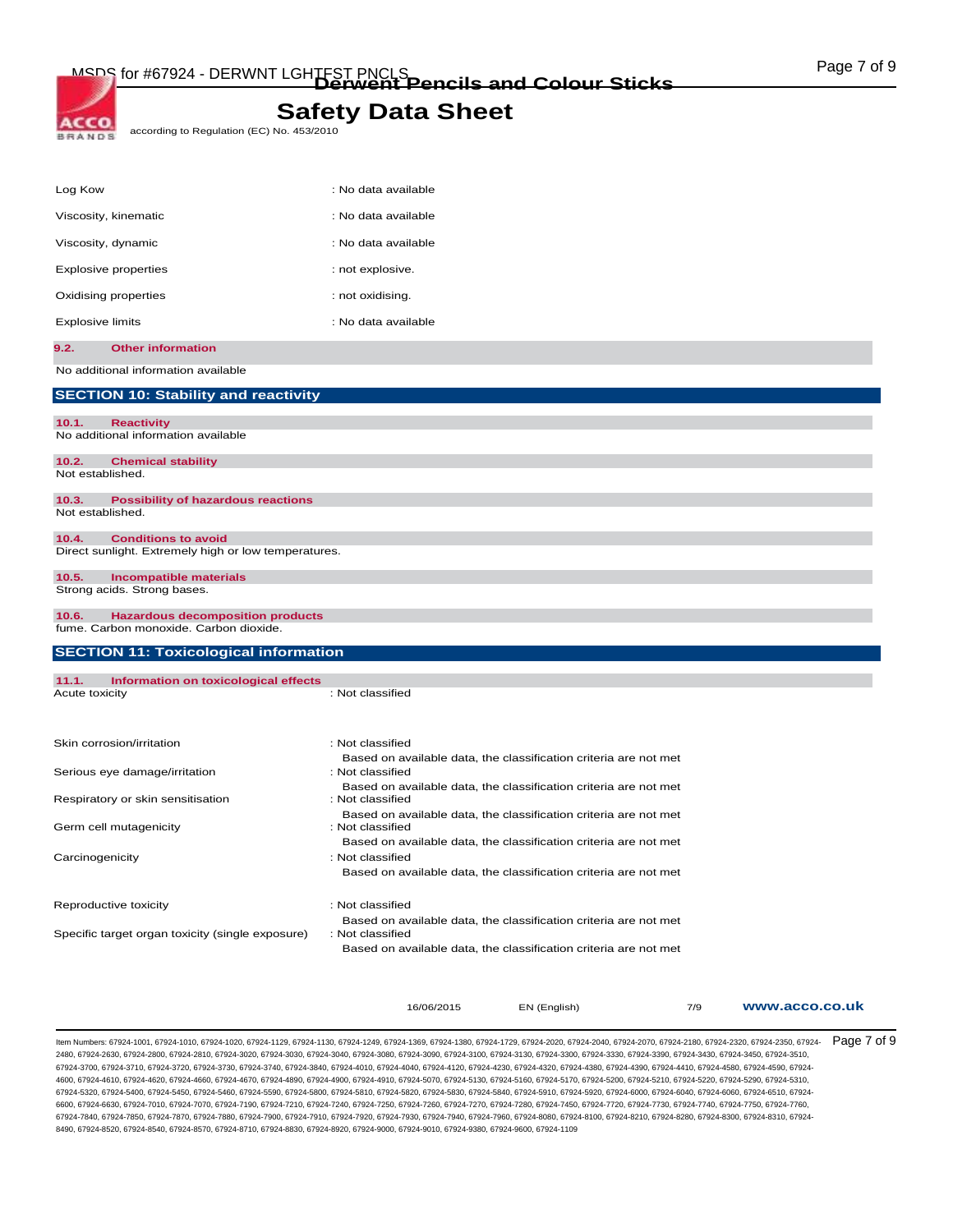ACCO according to Regulation (EC) No. 453/2010 **BRANDS** 

| Log Kow                 |                                                          | : No data available |
|-------------------------|----------------------------------------------------------|---------------------|
|                         | Viscosity, kinematic                                     | : No data available |
| Viscosity, dynamic      |                                                          | : No data available |
|                         | <b>Explosive properties</b>                              | : not explosive.    |
|                         | Oxidising properties                                     | : not oxidising.    |
| <b>Explosive limits</b> |                                                          | : No data available |
| 9.2.                    | <b>Other information</b>                                 |                     |
|                         | No additional information available                      |                     |
|                         | <b>SECTION 10: Stability and reactivity</b>              |                     |
| 10.1.                   | <b>Reactivity</b><br>No additional information available |                     |
| 10.2.                   | <b>Chemical stability</b>                                |                     |
| Not established.        |                                                          |                     |
| 10.3.                   | <b>Possibility of hazardous reactions</b>                |                     |
| Not established.        |                                                          |                     |
| 10.4.                   | <b>Conditions to avoid</b>                               |                     |
|                         | Direct sunlight. Extremely high or low temperatures.     |                     |

#### **10.5. Incompatible materials**  Strong acids. Strong bases.

**10.6. Hazardous decomposition products**  fume. Carbon monoxide. Carbon dioxide.

| <b>SECTION 11: Toxicological information</b>     |                                                                                      |  |  |
|--------------------------------------------------|--------------------------------------------------------------------------------------|--|--|
|                                                  |                                                                                      |  |  |
| Information on toxicological effects<br>11.1.    |                                                                                      |  |  |
| Acute toxicity                                   | : Not classified                                                                     |  |  |
|                                                  |                                                                                      |  |  |
| Skin corrosion/irritation                        | : Not classified                                                                     |  |  |
| Serious eye damage/irritation                    | Based on available data, the classification criteria are not met<br>: Not classified |  |  |
|                                                  |                                                                                      |  |  |
| Respiratory or skin sensitisation                | Based on available data, the classification criteria are not met<br>: Not classified |  |  |
|                                                  | Based on available data, the classification criteria are not met<br>: Not classified |  |  |
| Germ cell mutagenicity                           |                                                                                      |  |  |
|                                                  | Based on available data, the classification criteria are not met                     |  |  |
| Carcinogenicity                                  | : Not classified                                                                     |  |  |
|                                                  | Based on available data, the classification criteria are not met                     |  |  |
| Reproductive toxicity                            | : Not classified                                                                     |  |  |
|                                                  | Based on available data, the classification criteria are not met                     |  |  |
| Specific target organ toxicity (single exposure) | : Not classified                                                                     |  |  |
|                                                  | Based on available data, the classification criteria are not met                     |  |  |
|                                                  |                                                                                      |  |  |
|                                                  |                                                                                      |  |  |
|                                                  |                                                                                      |  |  |

16/06/2015 EN (English) 7/9 **www.acco.co.uk**

ltem Numbers: 67924-1001, 67924-1010, 67924-1020, 67924-1129, 67924-1130, 67924-1249, 67924-1369, 67924-1380, 67924-2020, 67924-2040, 67924-2070, 67924-2180, 67924-2180, 67924-2180, 67924-2320, 67924-2350, 67924-2350, 6792 2480, 67924-2630, 67924-2800, 67924-2810, 67924-3020, 67924-3030, 67924-3040, 67924-3080, 67924-3090, 67924-3100, 67924-3130, 67924-3300, 67924-3330, 67924-3390, 67924-3430, 67924-3450, 67924-3510, 67924-3700, 67924-3710, 67924-3720, 67924-3730, 67924-3740, 67924-3840, 67924-4010, 67924-4040, 67924-4120, 67924-4230, 67924-4320, 67924-4380, 67924-4390, 67924-4410, 67924-4580, 67924-4590, 67924- 4600, 67924-4610, 67924-4620, 67924-4660, 67924-4670, 67924-4890, 67924-4900, 67924-4910, 67924-5070, 67924-5130, 67924-5160, 67924-5170, 67924-5200, 67924-5210, 67924-5220, 67924-5290, 67924-5310, 67924-5320, 67924-5400, 67924-5450, 67924-5460, 67924-5590, 67924-5800, 67924-5810, 67924-5820, 67924-5830, 67924-5840, 67924-5910, 67924-5920, 67924-6000, 67924-6040, 67924-6060, 67924-6510, 67924- 6600, 67924-6630, 67924-7010, 67924-7070, 67924-7190, 67924-7210, 67924-7240, 67924-7260, 67924-7270, 67924-7780, 67924-7740, 67924-7720, 67924-7730, 67924-7740, 67924-7740, 67924-7740, 67924-7740, 67924-7740, 67924-7740, 6 67924-7840, 67924-7850, 67924-7870, 67924-7880, 67924-7900, 67924-7910, 67924-7920, 67924-7930, 67924-7940, 67924-7960, 67924-8080, 67924-8100, 67924-8210, 67924-8280, 67924-8300, 67924-8310, 67924- 8490, 67924-8520, 67924-8540, 67924-8570, 67924-8710, 67924-8830, 67924-8920, 67924-9000, 67924-9010, 67924-9380, 67924-9600, 67924-1109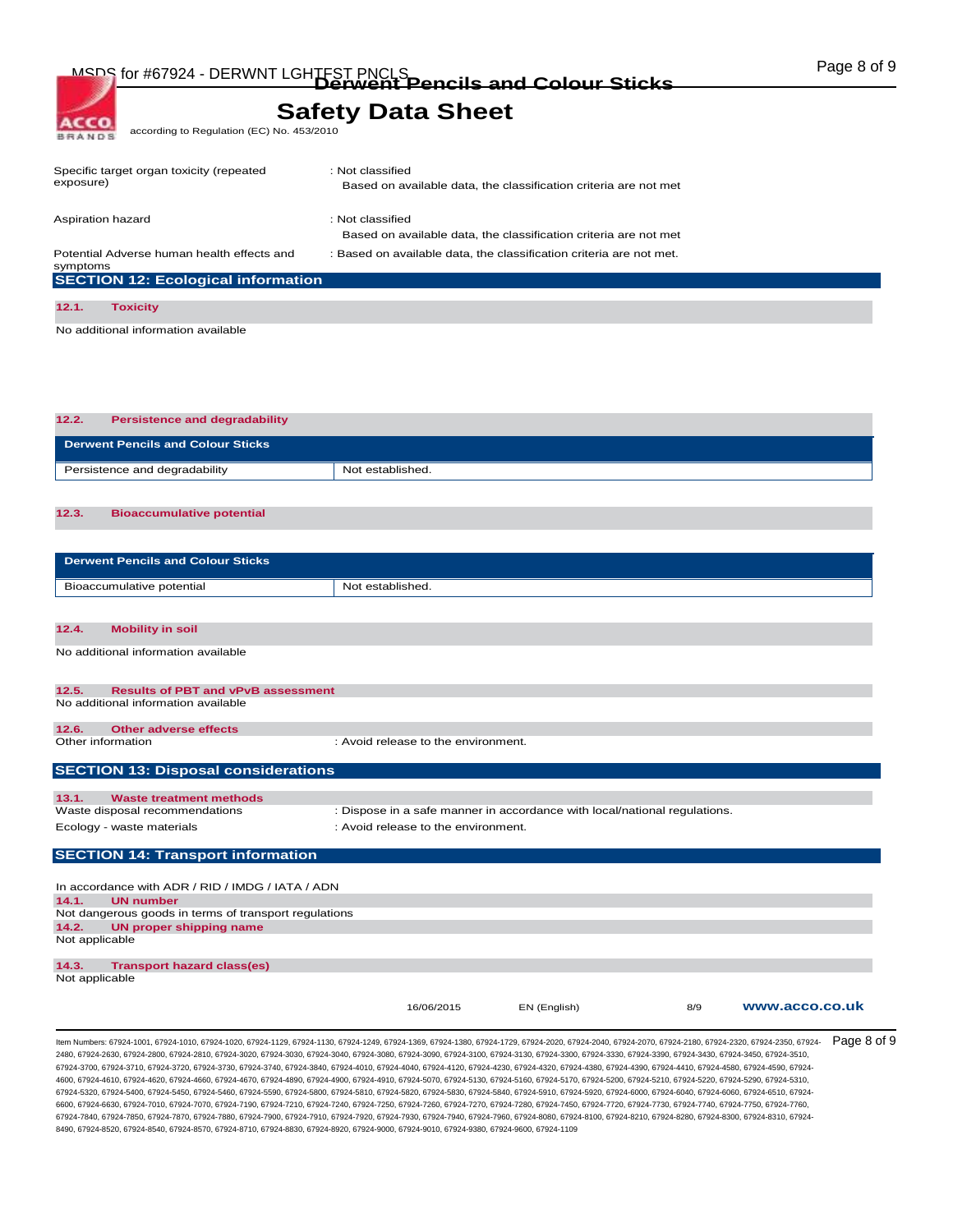MSDS for #67924 - DERWNT LGHTFST PNCLS<br> **Derwent Pencils and Colour Sticks COLOUR COLOUR STIGKS** 

## **Safety Data Sheet**

according to Regulation (EC) No. 453/2010

| Specific target organ toxicity (repeated<br>exposure) | : Not classified<br>Based on available data, the classification criteria are not met |
|-------------------------------------------------------|--------------------------------------------------------------------------------------|
|                                                       |                                                                                      |
| Aspiration hazard                                     | : Not classified                                                                     |
|                                                       | Based on available data, the classification criteria are not met                     |
| Potential Adverse human health effects and            | : Based on available data, the classification criteria are not met.                  |
| symptoms                                              |                                                                                      |
| <b>SECTION 12: Ecological information</b>             |                                                                                      |
|                                                       |                                                                                      |
| 12.1.<br>Toxicitv                                     |                                                                                      |

No additional information available

ACCO **BRANDS** 

**12.2. Persistence and degradability Derwent Pencils and Colour Sticks**  Persistence and degradability Not established.

### **12.3. Bioaccumulative potential**

| <b>Derwent Pencils and Colour Sticks</b> |                  |
|------------------------------------------|------------------|
| Bioaccumulative potential                | Not established. |
|                                          |                  |

#### **12.4. Mobility in soil**

No additional information available

| 12.5.                                      | <b>Results of PBT and vPvB assessment</b> |                                     |  |  |  |  |  |
|--------------------------------------------|-------------------------------------------|-------------------------------------|--|--|--|--|--|
| No additional information available        |                                           |                                     |  |  |  |  |  |
|                                            |                                           |                                     |  |  |  |  |  |
| 12.6.                                      | Other adverse effects                     |                                     |  |  |  |  |  |
| Other information                          |                                           | : Avoid release to the environment. |  |  |  |  |  |
|                                            |                                           |                                     |  |  |  |  |  |
| <b>SECTION 13: Disposal considerations</b> |                                           |                                     |  |  |  |  |  |

| 13.1.                          | Waste treatment methods |                                                                           |  |  |
|--------------------------------|-------------------------|---------------------------------------------------------------------------|--|--|
| Waste disposal recommendations |                         | : Dispose in a safe manner in accordance with local/national regulations. |  |  |
| Ecology - waste materials      |                         | : Avoid release to the environment.                                       |  |  |
|                                |                         |                                                                           |  |  |

### **SECTION 14: Transport information**

| In accordance with ADR / RID / IMDG / IATA / ADN      |                                   |            |              |     |                |  |  |  |
|-------------------------------------------------------|-----------------------------------|------------|--------------|-----|----------------|--|--|--|
| 14.1.                                                 | <b>UN number</b>                  |            |              |     |                |  |  |  |
| Not dangerous goods in terms of transport regulations |                                   |            |              |     |                |  |  |  |
| 14.2.                                                 | UN proper shipping name           |            |              |     |                |  |  |  |
| Not applicable                                        |                                   |            |              |     |                |  |  |  |
| 14.3.                                                 | <b>Transport hazard class(es)</b> |            |              |     |                |  |  |  |
| Not applicable                                        |                                   |            |              |     |                |  |  |  |
|                                                       |                                   | 16/06/2015 | EN (English) | 8/9 | www.acco.co.uk |  |  |  |

ltem Numbers: 67924-1001, 67924-1010, 67924-1020, 67924-1129, 67924-1130, 67924-1249, 67924-1369, 67924-1380, 67924-2020, 67924-2040, 67924-2070, 67924-2180, 67924-2180, 67924-2180, 67924-2320, 67924-2350, 67924-2350, 6792 2480, 67924-2630, 67924-2800, 67924-2810, 67924-3020, 67924-3030, 67924-3040, 67924-3080, 67924-3090, 67924-3100, 67924-3130, 67924-3300, 67924-3330, 67924-3390, 67924-3430, 67924-3450, 67924-3510, 67924-3700, 67924-3710, 67924-3720, 67924-3730, 67924-3740, 67924-3840, 67924-4010, 67924-4040, 67924-4120, 67924-4230, 67924-4320, 67924-4380, 67924-4390, 67924-4410, 67924-4580, 67924-4590, 67924- 4600, 67924-4610, 67924-4620, 67924-4660, 67924-4670, 67924-4890, 67924-4900, 67924-4910, 67924-5070, 67924-5130, 67924-5160, 67924-5170, 67924-5200, 67924-5210, 67924-5220, 67924-5290, 67924-5310, 67924-5320, 67924-5400, 67924-5450, 67924-5460, 67924-5590, 67924-5800, 67924-5810, 67924-5820, 67924-5830, 67924-5840, 67924-5910, 67924-5920, 67924-6000, 67924-6040, 67924-6060, 67924-6510, 67924- 6600, 67924-6630, 67924-7010, 67924-7070, 67924-7190, 67924-7210, 67924-7240, 67924-7260, 67924-7270, 67924-7780, 67924-7740, 67924-7720, 67924-7730, 67924-7740, 67924-7740, 67924-7740, 67924-7740, 67924-7740, 67924-7740, 6 67924-7840, 67924-7850, 67924-7870, 67924-7880, 67924-7900, 67924-7910, 67924-7920, 67924-7930, 67924-7940, 67924-7960, 67924-8080, 67924-8100, 67924-8210, 67924-8280, 67924-8300, 67924-8310, 67924- 8490, 67924-8520, 67924-8540, 67924-8570, 67924-8710, 67924-8830, 67924-8920, 67924-9000, 67924-9010, 67924-9380, 67924-9600, 67924-1109